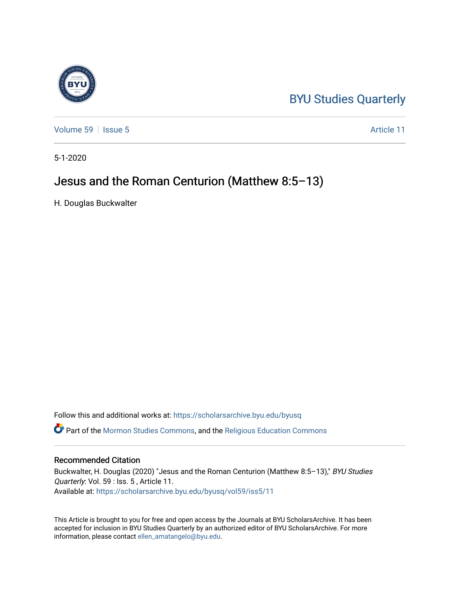# [BYU Studies Quarterly](https://scholarsarchive.byu.edu/byusq)

[Volume 59](https://scholarsarchive.byu.edu/byusq/vol59) | [Issue 5](https://scholarsarchive.byu.edu/byusq/vol59/iss5) Article 11

5-1-2020

## Jesus and the Roman Centurion (Matthew 8:5–13)

H. Douglas Buckwalter

Follow this and additional works at: [https://scholarsarchive.byu.edu/byusq](https://scholarsarchive.byu.edu/byusq?utm_source=scholarsarchive.byu.edu%2Fbyusq%2Fvol59%2Fiss5%2F11&utm_medium=PDF&utm_campaign=PDFCoverPages) 

Part of the [Mormon Studies Commons](http://network.bepress.com/hgg/discipline/1360?utm_source=scholarsarchive.byu.edu%2Fbyusq%2Fvol59%2Fiss5%2F11&utm_medium=PDF&utm_campaign=PDFCoverPages), and the [Religious Education Commons](http://network.bepress.com/hgg/discipline/1414?utm_source=scholarsarchive.byu.edu%2Fbyusq%2Fvol59%2Fiss5%2F11&utm_medium=PDF&utm_campaign=PDFCoverPages) 

### Recommended Citation

Buckwalter, H. Douglas (2020) "Jesus and the Roman Centurion (Matthew 8:5-13)," BYU Studies Quarterly: Vol. 59 : Iss. 5 , Article 11. Available at: [https://scholarsarchive.byu.edu/byusq/vol59/iss5/11](https://scholarsarchive.byu.edu/byusq/vol59/iss5/11?utm_source=scholarsarchive.byu.edu%2Fbyusq%2Fvol59%2Fiss5%2F11&utm_medium=PDF&utm_campaign=PDFCoverPages) 

This Article is brought to you for free and open access by the Journals at BYU ScholarsArchive. It has been accepted for inclusion in BYU Studies Quarterly by an authorized editor of BYU ScholarsArchive. For more information, please contact [ellen\\_amatangelo@byu.edu.](mailto:ellen_amatangelo@byu.edu)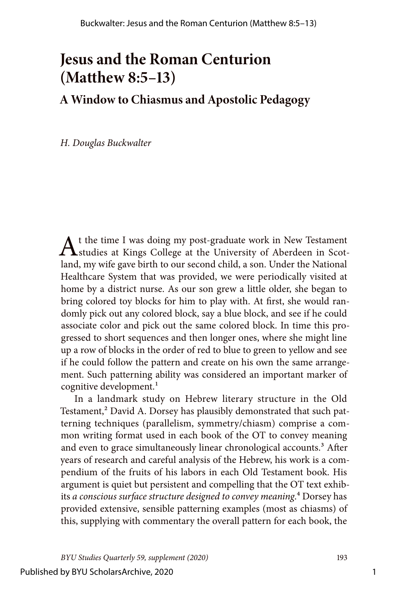# **Jesus and the Roman Centurion (Matthew 8:5–13)**

## **A Window to Chiasmus and Apostolic Pedagogy**

*H. Douglas Buckwalter*

At the time I was doing my post-graduate work in New Testament<br>
studies at Kings College at the University of Aberdeen in Scotland, my wife gave birth to our second child, a son. Under the National Healthcare System that was provided, we were periodically visited at home by a district nurse. As our son grew a little older, she began to bring colored toy blocks for him to play with. At first, she would randomly pick out any colored block, say a blue block, and see if he could associate color and pick out the same colored block. In time this progressed to short sequences and then longer ones, where she might line up a row of blocks in the order of red to blue to green to yellow and see if he could follow the pattern and create on his own the same arrangement. Such patterning ability was considered an important marker of cognitive development.<sup>1</sup>

In a landmark study on Hebrew literary structure in the Old Testament,<sup>2</sup> David A. Dorsey has plausibly demonstrated that such patterning techniques (parallelism, symmetry/chiasm) comprise a common writing format used in each book of the OT to convey meaning and even to grace simultaneously linear chronological accounts.<sup>3</sup> After years of research and careful analysis of the Hebrew, his work is a compendium of the fruits of his labors in each Old Testament book. His argument is quiet but persistent and compelling that the OT text exhibits *a conscious surface structure designed to convey meaning*.4 Dorsey has provided extensive, sensible patterning examples (most as chiasms) of this, supplying with commentary the overall pattern for each book, the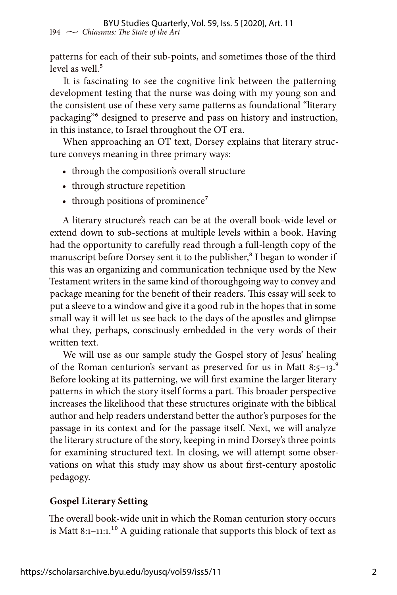patterns for each of their sub-points, and sometimes those of the third level as well $<sup>5</sup>$ </sup>

It is fascinating to see the cognitive link between the patterning development testing that the nurse was doing with my young son and the consistent use of these very same patterns as foundational "literary packaging"6 designed to preserve and pass on history and instruction, in this instance, to Israel throughout the OT era.

When approaching an OT text, Dorsey explains that literary structure conveys meaning in three primary ways:

- through the composition's overall structure
- through structure repetition
- through positions of prominence<sup>7</sup>

A literary structure's reach can be at the overall book-wide level or extend down to sub-sections at multiple levels within a book. Having had the opportunity to carefully read through a full-length copy of the manuscript before Dorsey sent it to the publisher,<sup>8</sup> I began to wonder if this was an organizing and communication technique used by the New Testament writers in the same kind of thoroughgoing way to convey and package meaning for the benefit of their readers. This essay will seek to put a sleeve to a window and give it a good rub in the hopes that in some small way it will let us see back to the days of the apostles and glimpse what they, perhaps, consciously embedded in the very words of their written text.

We will use as our sample study the Gospel story of Jesus' healing of the Roman centurion's servant as preserved for us in Matt 8:5-13. $\degree$ Before looking at its patterning, we will first examine the larger literary patterns in which the story itself forms a part. This broader perspective increases the likelihood that these structures originate with the biblical author and help readers understand better the author's purposes for the passage in its context and for the passage itself. Next, we will analyze the literary structure of the story, keeping in mind Dorsey's three points for examining structured text. In closing, we will attempt some observations on what this study may show us about first-century apostolic pedagogy.

## **Gospel Literary Setting**

The overall book-wide unit in which the Roman centurion story occurs is Matt 8:1-11:1.<sup>10</sup> A guiding rationale that supports this block of text as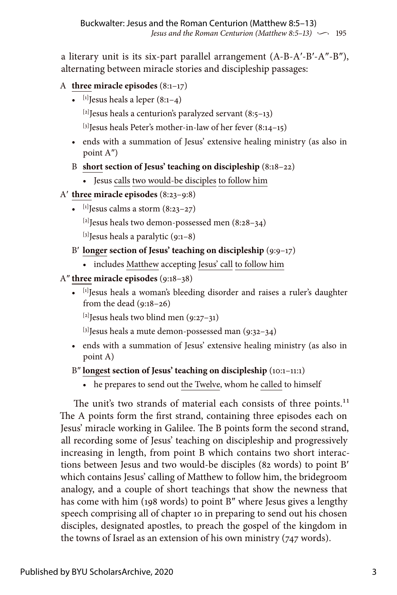a literary unit is its six-part parallel arrangement (A-B-A′-B′-A″-B″), alternating between miracle stories and discipleship passages:

## A **three miracle episodes** (8:1–17)

•  $[1]$  Jesus heals a leper  $(8:1-4)$ 

 $[2]$ Jesus heals a centurion's paralyzed servant (8:5–13)

 $[3]$  Jesus heals Peter's mother-in-law of her fever  $(8:14-15)$ 

- ends with a summation of Jesus' extensive healing ministry (as also in point A″)
- B **short section of Jesus' teaching on discipleship** (8:18–22)
	- Jesus calls two would-be disciples to follow him
- A′ **three miracle episodes** (8:23–9:8)
	- $\left[1\right]$  Jesus calms a storm  $\left(8:23-27\right)$

 $[2]$ Jesus heals two demon-possessed men (8:28–34)

 $^{[3]}$ Jesus heals a paralytic (9:1–8)

- B′ **longer section of Jesus' teaching on discipleship** (9:9–17)
	- includes Matthew accepting Jesus' call to follow him

## A″ **three miracle episodes** (9:18–38)

• [1] Jesus heals a woman's bleeding disorder and raises a ruler's daughter from the dead (9:18–26)

[2]Jesus heals two blind men (9:27–31)

 $[3]$ Jesus heals a mute demon-possessed man (9:32-34)

• ends with a summation of Jesus' extensive healing ministry (as also in point A)

## B″ **longest section of Jesus' teaching on discipleship** (10:1–11:1)

• he prepares to send out the Twelve, whom he called to himself

The unit's two strands of material each consists of three points.<sup>11</sup> The A points form the first strand, containing three episodes each on Jesus' miracle working in Galilee. The B points form the second strand, all recording some of Jesus' teaching on discipleship and progressively increasing in length, from point B which contains two short interactions between Jesus and two would-be disciples (82 words) to point B′ which contains Jesus' calling of Matthew to follow him, the bridegroom analogy, and a couple of short teachings that show the newness that has come with him (198 words) to point B″ where Jesus gives a lengthy speech comprising all of chapter 10 in preparing to send out his chosen disciples, designated apostles, to preach the gospel of the kingdom in the towns of Israel as an extension of his own ministry (747 words).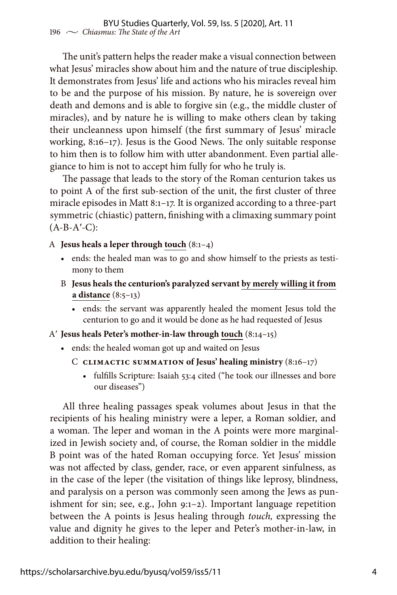The unit's pattern helps the reader make a visual connection between what Jesus' miracles show about him and the nature of true discipleship. It demonstrates from Jesus' life and actions who his miracles reveal him to be and the purpose of his mission. By nature, he is sovereign over death and demons and is able to forgive sin (e.g., the middle cluster of miracles), and by nature he is willing to make others clean by taking their uncleanness upon himself (the first summary of Jesus' miracle working, 8:16–17). Jesus is the Good News. The only suitable response to him then is to follow him with utter abandonment. Even partial allegiance to him is not to accept him fully for who he truly is.

The passage that leads to the story of the Roman centurion takes us to point A of the first sub-section of the unit, the first cluster of three miracle episodes in Matt 8:1–17. It is organized according to a three-part symmetric (chiastic) pattern, finishing with a climaxing summary point  $(A-B-A'-C)$ :

#### A **Jesus heals a leper through touch** (8:1–4)

- ends: the healed man was to go and show himself to the priests as testimony to them
- B **Jesus heals the centurion's paralyzed servant by merely willing it from a distance** (8:5–13)
	- ends: the servant was apparently healed the moment Jesus told the centurion to go and it would be done as he had requested of Jesus

#### A′ **Jesus heals Peter's mother-in-law through touch** (8:14–15)

- ends: the healed woman got up and waited on Jesus
	- C **CLIMACTIC SUMMATION of Jesus' healing ministry** (8:16–17)
		- fulfills Scripture: Isaiah 53:4 cited ("he took our illnesses and bore our diseases")

All three healing passages speak volumes about Jesus in that the recipients of his healing ministry were a leper, a Roman soldier, and a woman. The leper and woman in the A points were more marginalized in Jewish society and, of course, the Roman soldier in the middle B point was of the hated Roman occupying force. Yet Jesus' mission was not affected by class, gender, race, or even apparent sinfulness, as in the case of the leper (the visitation of things like leprosy, blindness, and paralysis on a person was commonly seen among the Jews as punishment for sin; see, e.g., John 9:1–2). Important language repetition between the A points is Jesus healing through *touch,* expressing the value and dignity he gives to the leper and Peter's mother-in-law, in addition to their healing: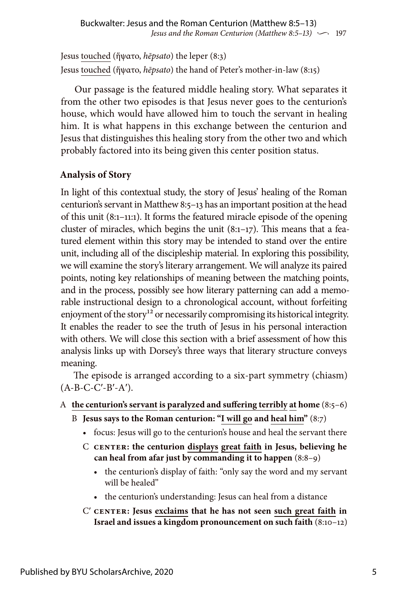Jesus touched (ἥψατο, *hēpsato*) the leper (8:3) Jesus touched (ἥψατο, *hēpsato*) the hand of Peter's mother-in-law (8:15)

Our passage is the featured middle healing story. What separates it from the other two episodes is that Jesus never goes to the centurion's house, which would have allowed him to touch the servant in healing him. It is what happens in this exchange between the centurion and Jesus that distinguishes this healing story from the other two and which probably factored into its being given this center position status.

## **Analysis of Story**

In light of this contextual study, the story of Jesus' healing of the Roman centurion's servant in Matthew 8:5–13 has an important position at the head of this unit (8:1–11:1). It forms the featured miracle episode of the opening cluster of miracles, which begins the unit (8:1–17). This means that a featured element within this story may be intended to stand over the entire unit, including all of the discipleship material. In exploring this possibility, we will examine the story's literary arrangement. We will analyze its paired points, noting key relationships of meaning between the matching points, and in the process, possibly see how literary patterning can add a memorable instructional design to a chronological account, without forfeiting enjoyment of the story<sup>12</sup> or necessarily compromising its historical integrity. It enables the reader to see the truth of Jesus in his personal interaction with others. We will close this section with a brief assessment of how this analysis links up with Dorsey's three ways that literary structure conveys meaning.

The episode is arranged according to a six-part symmetry (chiasm)  $(A-B-C-C'-B'-A')$ .

- A **the centurion's servant is paralyzed and suffering terribly at home** (8:5–6)
	- B **Jesus says to the Roman centurion: "I will go and heal him"** (8:7)
		- focus: Jesus will go to the centurion's house and heal the servant there
		- C **CENTER: the centurion displays great faith in Jesus, believing he can heal from afar just by commanding it to happen** (8:8–9)
			- the centurion's display of faith: "only say the word and my servant will be healed"
			- the centurion's understanding: Jesus can heal from a distance
		- C′ **CENTER: Jesus exclaims that he has not seen such great faith in Israel and issues a kingdom pronouncement on such faith** (8:10–12)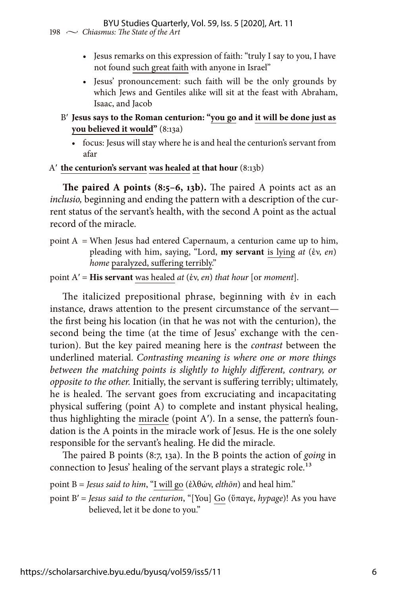### BYU Studies Quarterly, Vol. 59, Iss. 5 [2020], Art. 11

198  $\sim$  *Chiasmus: The State of the Art* 

- Jesus remarks on this expression of faith: "truly I say to you, I have not found such great faith with anyone in Israel"
- Jesus' pronouncement: such faith will be the only grounds by which Jews and Gentiles alike will sit at the feast with Abraham, Isaac, and Jacob
- B′ **Jesus says to the Roman centurion: "you go and it will be done just as you believed it would"** (8:13a)
	- focus: Jesus will stay where he is and heal the centurion's servant from afar

#### A′ **the centurion's servant was healed at that hour** (8:13b)

**The paired A points (8:5–6, 13b).** The paired A points act as an *inclusio,* beginning and ending the pattern with a description of the current status of the servant's health, with the second A point as the actual record of the miracle.

point  $A' =$  When Jesus had entered Capernaum, a centurion came up to him, pleading with him, saying, "Lord, **my servant** is lying *at* (ἐν, *en*) *home* paralyzed, suffering terribly."

#### point A′ = **His servant** was healed *at* (ἐν, *en*) *that hour* [or *moment*].

The italicized prepositional phrase, beginning with ἐν in each instance, draws attention to the present circumstance of the servant the first being his location (in that he was not with the centurion), the second being the time (at the time of Jesus' exchange with the centurion). But the key paired meaning here is the *contrast* between the underlined material. *Contrasting meaning is where one or more things between the matching points is slightly to highly different, contrary, or opposite to the other.* Initially, the servant is suffering terribly; ultimately, he is healed. The servant goes from excruciating and incapacitating physical suffering (point A) to complete and instant physical healing, thus highlighting the miracle (point A′). In a sense, the pattern's foundation is the A points in the miracle work of Jesus. He is the one solely responsible for the servant's healing. He did the miracle.

The paired B points (8:7, 13a). In the B points the action of *going* in connection to Jesus' healing of the servant plays a strategic role.<sup>13</sup>

point B = *Jesus said to him*, "I will go (ἐλθών, *elthōn*) and heal him."

point B′ = *Jesus said to the centurion*, "[You] Go (ὕπαγε, *hypage*)! As you have believed, let it be done to you."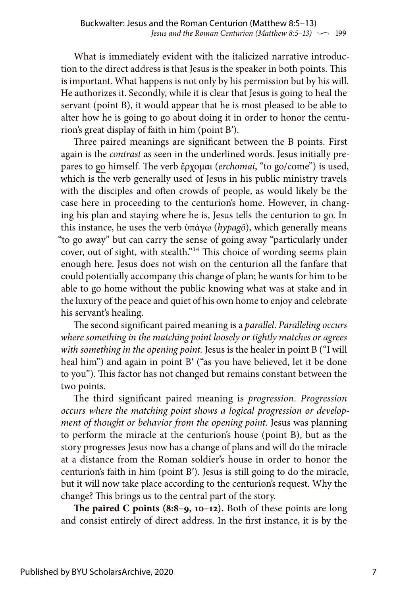What is immediately evident with the italicized narrative introduction to the direct address is that Jesus is the speaker in both points. This is important. What happens is not only by his permission but by his will. He authorizes it. Secondly, while it is clear that Jesus is going to heal the servant (point B), it would appear that he is most pleased to be able to alter how he is going to go about doing it in order to honor the centurion's great display of faith in him (point B′).

Three paired meanings are significant between the B points. First again is the *contrast* as seen in the underlined words. Jesus initially prepares to go himself. The verb ἔρχομαι (*erchomai*, "to go/come") is used, which is the verb generally used of Jesus in his public ministry travels with the disciples and often crowds of people, as would likely be the case here in proceeding to the centurion's home. However, in changing his plan and staying where he is, Jesus tells the centurion to go. In this instance, he uses the verb ὑπάγω (*hypagō*), which generally means "to go away" but can carry the sense of going away "particularly under cover, out of sight, with stealth."14 This choice of wording seems plain enough here. Jesus does not wish on the centurion all the fanfare that could potentially accompany this change of plan; he wants for him to be able to go home without the public knowing what was at stake and in the luxury of the peace and quiet of his own home to enjoy and celebrate his servant's healing.

The second significant paired meaning is a *parallel*. *Paralleling occurs where something in the matching point loosely or tightly matches or agrees with something in the opening point.* Jesus is the healer in point B ("I will heal him") and again in point B' ("as you have believed, let it be done to you"). This factor has not changed but remains constant between the two points.

The third significant paired meaning is *progression*. *Progression occurs where the matching point shows a logical progression or development of thought or behavior from the opening point.* Jesus was planning to perform the miracle at the centurion's house (point B), but as the story progresses Jesus now has a change of plans and will do the miracle at a distance from the Roman soldier's house in order to honor the centurion's faith in him (point B′). Jesus is still going to do the miracle, but it will now take place according to the centurion's request. Why the change? This brings us to the central part of the story.

**The paired C points (8:8–9, 10–12).** Both of these points are long and consist entirely of direct address. In the first instance, it is by the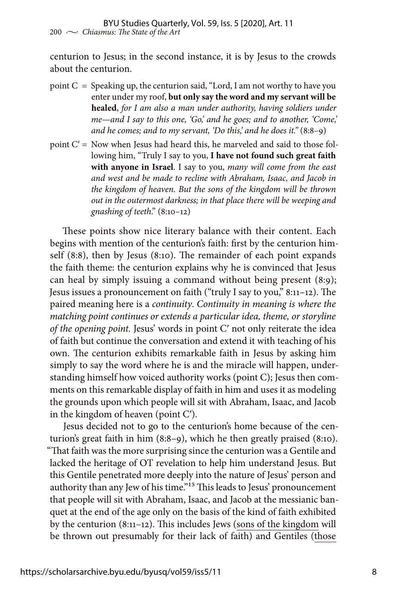centurion to Jesus; in the second instance, it is by Jesus to the crowds about the centurion.

- point  $C =$  Speaking up, the centurion said, "Lord, I am not worthy to have you enter under my roof, **but only say the word and my servant will be healed**, *for I am also a man under authority, having soldiers under me—and I say to this one, 'Go,' and he goes; and to another, 'Come,' and he comes; and to my servant, 'Do this,' and he does it."* (8:8–9)
- point C′ = Now when Jesus had heard this, he marveled and said to those following him, "Truly I say to you, **I have not found such great faith with anyone in Israel**. I say to you, *many will come from the east and west and be made to recline with Abraham, Isaac, and Jacob in the kingdom of heaven. But the sons of the kingdom will be thrown out in the outermost darkness; in that place there will be weeping and gnashing of teeth*." (8:10–12)

These points show nice literary balance with their content. Each begins with mention of the centurion's faith: first by the centurion himself (8:8), then by Jesus (8:10). The remainder of each point expands the faith theme: the centurion explains why he is convinced that Jesus can heal by simply issuing a command without being present (8:9); Jesus issues a pronouncement on faith ("truly I say to you," 8:11–12). The paired meaning here is a *continuity*. *Continuity in meaning is where the matching point continues or extends a particular idea, theme, or storyline of the opening point.* Jesus' words in point C′ not only reiterate the idea of faith but continue the conversation and extend it with teaching of his own. The centurion exhibits remarkable faith in Jesus by asking him simply to say the word where he is and the miracle will happen, understanding himself how voiced authority works (point C); Jesus then comments on this remarkable display of faith in him and uses it as modeling the grounds upon which people will sit with Abraham, Isaac, and Jacob in the kingdom of heaven (point C′).

Jesus decided not to go to the centurion's home because of the centurion's great faith in him (8:8–9), which he then greatly praised (8:10). "That faith was the more surprising since the centurion was a Gentile and lacked the heritage of OT revelation to help him understand Jesus. But this Gentile penetrated more deeply into the nature of Jesus' person and authority than any Jew of his time."<sup>15</sup> This leads to Jesus' pronouncement that people will sit with Abraham, Isaac, and Jacob at the messianic banquet at the end of the age only on the basis of the kind of faith exhibited by the centurion (8:11–12). This includes Jews (sons of the kingdom will be thrown out presumably for their lack of faith) and Gentiles (those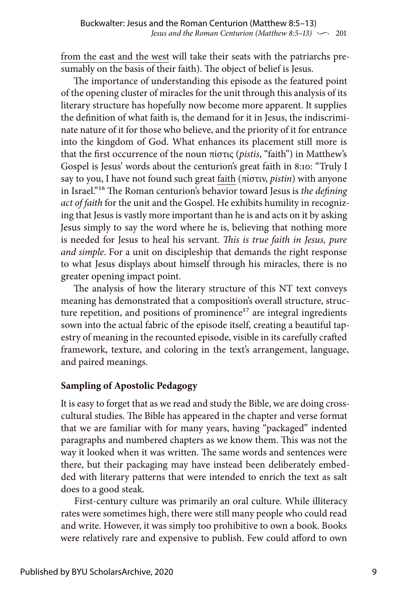from the east and the west will take their seats with the patriarchs presumably on the basis of their faith). The object of belief is Jesus.

The importance of understanding this episode as the featured point of the opening cluster of miracles for the unit through this analysis of its literary structure has hopefully now become more apparent. It supplies the definition of what faith is, the demand for it in Jesus, the indiscriminate nature of it for those who believe, and the priority of it for entrance into the kingdom of God. What enhances its placement still more is that the first occurrence of the noun πίστις (*pistis*, "faith") in Matthew's Gospel is Jesus' words about the centurion's great faith in 8:10: "Truly I say to you, I have not found such great faith (πίστιν, *pistin*) with anyone in Israel."16 The Roman centurion's behavior toward Jesus is *the defining act of faith* for the unit and the Gospel. He exhibits humility in recognizing that Jesus is vastly more important than he is and acts on it by asking Jesus simply to say the word where he is, believing that nothing more is needed for Jesus to heal his servant. *This is true faith in Jesus, pure and simple*. For a unit on discipleship that demands the right response to what Jesus displays about himself through his miracles, there is no greater opening impact point.

The analysis of how the literary structure of this NT text conveys meaning has demonstrated that a composition's overall structure, structure repetition, and positions of prominence $17$  are integral ingredients sown into the actual fabric of the episode itself, creating a beautiful tapestry of meaning in the recounted episode, visible in its carefully crafted framework, texture, and coloring in the text's arrangement, language, and paired meanings.

## **Sampling of Apostolic Pedagogy**

It is easy to forget that as we read and study the Bible, we are doing crosscultural studies. The Bible has appeared in the chapter and verse format that we are familiar with for many years, having "packaged" indented paragraphs and numbered chapters as we know them. This was not the way it looked when it was written. The same words and sentences were there, but their packaging may have instead been deliberately embedded with literary patterns that were intended to enrich the text as salt does to a good steak.

First-century culture was primarily an oral culture. While illiteracy rates were sometimes high, there were still many people who could read and write. However, it was simply too prohibitive to own a book. Books were relatively rare and expensive to publish. Few could afford to own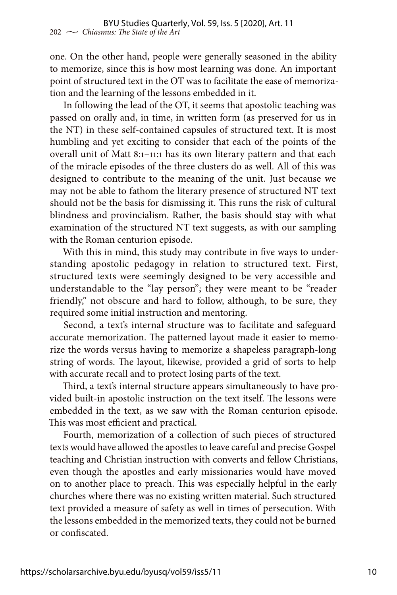one. On the other hand, people were generally seasoned in the ability to memorize, since this is how most learning was done. An important point of structured text in the OT was to facilitate the ease of memorization and the learning of the lessons embedded in it.

In following the lead of the OT, it seems that apostolic teaching was passed on orally and, in time, in written form (as preserved for us in the NT) in these self-contained capsules of structured text. It is most humbling and yet exciting to consider that each of the points of the overall unit of Matt 8:1–11:1 has its own literary pattern and that each of the miracle episodes of the three clusters do as well. All of this was designed to contribute to the meaning of the unit. Just because we may not be able to fathom the literary presence of structured NT text should not be the basis for dismissing it. This runs the risk of cultural blindness and provincialism. Rather, the basis should stay with what examination of the structured NT text suggests, as with our sampling with the Roman centurion episode.

With this in mind, this study may contribute in five ways to understanding apostolic pedagogy in relation to structured text. First, structured texts were seemingly designed to be very accessible and understandable to the "lay person"; they were meant to be "reader friendly," not obscure and hard to follow, although, to be sure, they required some initial instruction and mentoring.

Second, a text's internal structure was to facilitate and safeguard accurate memorization. The patterned layout made it easier to memorize the words versus having to memorize a shapeless paragraph-long string of words. The layout, likewise, provided a grid of sorts to help with accurate recall and to protect losing parts of the text.

Third, a text's internal structure appears simultaneously to have provided built-in apostolic instruction on the text itself. The lessons were embedded in the text, as we saw with the Roman centurion episode. This was most efficient and practical.

Fourth, memorization of a collection of such pieces of structured texts would have allowed the apostles to leave careful and precise Gospel teaching and Christian instruction with converts and fellow Christians, even though the apostles and early missionaries would have moved on to another place to preach. This was especially helpful in the early churches where there was no existing written material. Such structured text provided a measure of safety as well in times of persecution. With the lessons embedded in the memorized texts, they could not be burned or confiscated.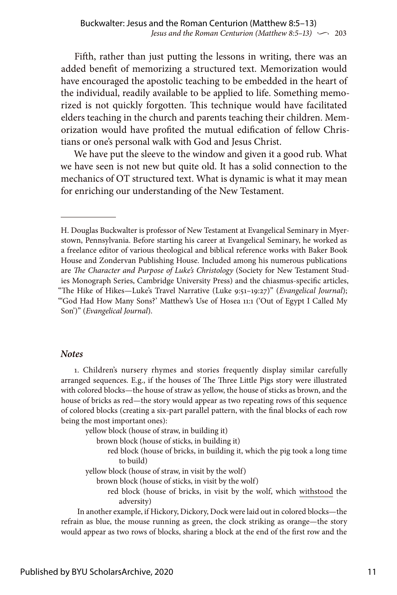Fifth, rather than just putting the lessons in writing, there was an added benefit of memorizing a structured text. Memorization would have encouraged the apostolic teaching to be embedded in the heart of the individual, readily available to be applied to life. Something memorized is not quickly forgotten. This technique would have facilitated elders teaching in the church and parents teaching their children. Memorization would have profited the mutual edification of fellow Christians or one's personal walk with God and Jesus Christ.

We have put the sleeve to the window and given it a good rub. What we have seen is not new but quite old. It has a solid connection to the mechanics of OT structured text. What is dynamic is what it may mean for enriching our understanding of the New Testament.

#### *Notes*

1. Children's nursery rhymes and stories frequently display similar carefully arranged sequences. E.g., if the houses of The Three Little Pigs story were illustrated with colored blocks—the house of straw as yellow, the house of sticks as brown, and the house of bricks as red—the story would appear as two repeating rows of this sequence of colored blocks (creating a six-part parallel pattern, with the final blocks of each row being the most important ones):

yellow block (house of straw, in building it)

brown block (house of sticks, in building it)

 red block (house of bricks, in building it, which the pig took a long time to build)

yellow block (house of straw, in visit by the wolf)

brown block (house of sticks, in visit by the wolf)

 red block (house of bricks, in visit by the wolf, which withstood the adversity)

In another example, if Hickory, Dickory, Dock were laid out in colored blocks—the refrain as blue, the mouse running as green, the clock striking as orange—the story would appear as two rows of blocks, sharing a block at the end of the first row and the

H. Douglas Buckwalter is professor of New Testament at Evangelical Seminary in Myerstown, Pennsylvania. Before starting his career at Evangelical Seminary, he worked as a freelance editor of various theological and biblical reference works with Baker Book House and Zondervan Publishing House. Included among his numerous publications are *The Character and Purpose of Luke's Christology* (Society for New Testament Studies Monograph Series, Cambridge University Press) and the chiasmus-specific articles, "The Hike of Hikes—Luke's Travel Narrative (Luke 9:51–19:27)" (*Evangelical Journal*); "'God Had How Many Sons?' Matthew's Use of Hosea 11:1 ('Out of Egypt I Called My Son')" (*Evangelical Journal*).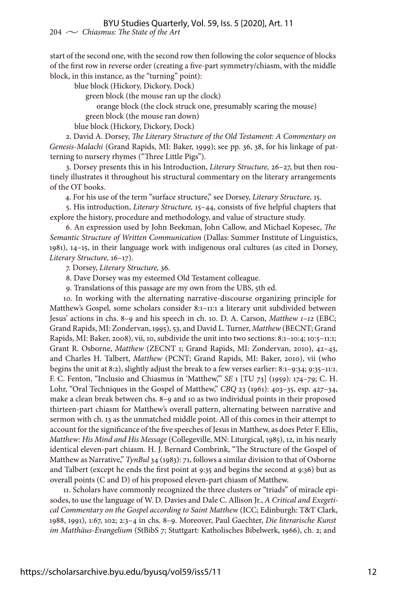start of the second one, with the second row then following the color sequence of blocks of the first row in reverse order (creating a five-part symmetry/chiasm, with the middle block, in this instance, as the "turning" point):

blue block (Hickory, Dickory, Dock)

green block (the mouse ran up the clock)

orange block (the clock struck one, presumably scaring the mouse)

green block (the mouse ran down)

blue block (Hickory, Dickory, Dock)

2. David A. Dorsey, *The Literary Structure of the Old Testament: A Commentary on Genesis-Malachi* (Grand Rapids, MI: Baker, 1999); see pp. 36, 38, for his linkage of patterning to nursery rhymes ("Three Little Pigs").

3. Dorsey presents this in his Introduction, *Literary Structure,* 26–27, but then routinely illustrates it throughout his structural commentary on the literary arrangements of the OT books.

4. For his use of the term "surface structure," see Dorsey, *Literary Structure,* 15.

5. His introduction, *Literary Structure,* 15–44, consists of five helpful chapters that explore the history, procedure and methodology, and value of structure study.

6. An expression used by John Beekman, John Callow, and Michael Kopesec, *The Semantic Structure of Written Communication* (Dallas: Summer Institute of Linguistics, 1981), 14–15, in their language work with indigenous oral cultures (as cited in Dorsey, *Literary Structure,* 16–17).

7. Dorsey, *Literary Structure,* 36.

8. Dave Dorsey was my esteemed Old Testament colleague.

9. Translations of this passage are my own from the UBS, 5th ed.

10. In working with the alternating narrative-discourse organizing principle for Matthew's Gospel, some scholars consider 8:1–11:1 a literary unit subdivided between Jesus' actions in chs. 8–9 and his speech in ch. 10. D. A. Carson, *Matthew 1–12* (EBC; Grand Rapids, MI: Zondervan, 1995), 53, and David L. Turner, *Matthew* (BECNT; Grand Rapids, MI: Baker, 2008), vii, 10, subdivide the unit into two sections: 8:1–10:4; 10:5–11:1; Grant R. Osborne, *Matthew* (ZECNT 1; Grand Rapids, MI: Zondervan, 2010), 42–43, and Charles H. Talbert, *Matthew* (PCNT; Grand Rapids, MI: Baker, 2010), vii (who begins the unit at 8:2), slightly adjust the break to a few verses earlier: 8:1–9:34; 9:35–11:1. F. C. Fenton, "Inclusio and Chiasmus in 'Matthew,'" *SE* 1 [TU 73] (1959): 174–79; C. H. Lohr, "Oral Techniques in the Gospel of Matthew," *CBQ* 23 (1961): 403–35, esp. 427–34, make a clean break between chs. 8–9 and 10 as two individual points in their proposed thirteen-part chiasm for Matthew's overall pattern, alternating between narrative and sermon with ch. 13 as the unmatched middle point. All of this comes in their attempt to account for the significance of the five speeches of Jesus in Matthew, as does Peter F. Ellis, *Matthew: His Mind and His Message* (Collegeville, MN: Liturgical, 1985), 12, in his nearly identical eleven-part chiasm. H. J. Bernard Combrink, "The Structure of the Gospel of Matthew as Narrative," *TynBul* 34 (1983): 71, follows a similar division to that of Osborne and Talbert (except he ends the first point at 9:35 and begins the second at 9:36) but as overall points (C and D) of his proposed eleven-part chiasm of Matthew.

11. Scholars have commonly recognized the three clusters or "triads" of miracle episodes, to use the language of W. D. Davies and Dale C. Allison Jr., *A Critical and Exegetical Commentary on the Gospel according to Saint Matthew* (ICC; Edinburgh: T&T Clark, 1988, 1991), 1:67, 102; 2:3–4 in chs. 8–9. Moreover, Paul Gaechter, *Die literarische Kunst im Matthäus-Evangelium* (StBibS 7; Stuttgart: Katholisches Bibelwerk, 1966), ch. 2; and